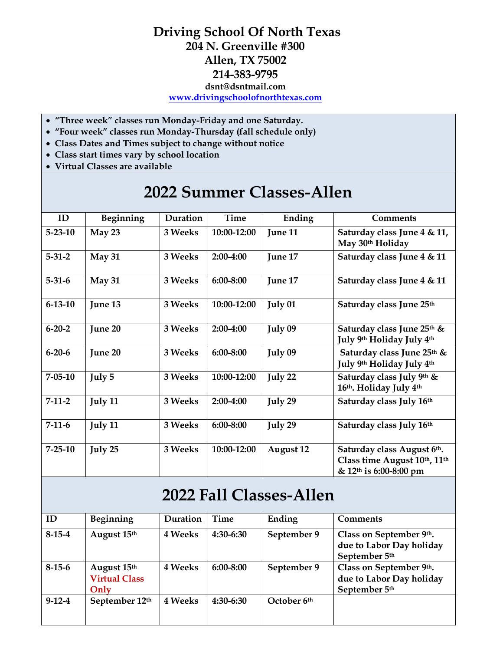## **Driving School Of North Texas 204 N. Greenville #300 Allen, TX 75002 214-383-9795 dsnt@dsntmail.com [www.drivingschoolofnorthtexas.com](http://www.drivingschoolofnorthtexas.com/)**

- **"Three week" classes run Monday-Friday and one Saturday.**
- **"Four week" classes run Monday-Thursday (fall schedule only)**
- **Class Dates and Times subject to change without notice**
- **Class start times vary by school location**
- **Virtual Classes are available**

## **2022 Summer Classes-Allen**

| ID            | Beginning | Duration | Time          | Ending           | <b>Comments</b>                                                                                  |
|---------------|-----------|----------|---------------|------------------|--------------------------------------------------------------------------------------------------|
| $5 - 23 - 10$ | May 23    | 3 Weeks  | 10:00-12:00   | June 11          | Saturday class June 4 & 11,<br>May 30th Holiday                                                  |
| $5 - 31 - 2$  | May 31    | 3 Weeks  | 2:00-4:00     | June 17          | Saturday class June 4 & 11                                                                       |
| $5 - 31 - 6$  | May 31    | 3 Weeks  | 6:00-8:00     | June 17          | Saturday class June 4 & 11                                                                       |
| $6 - 13 - 10$ | June 13   | 3 Weeks  | 10:00-12:00   | July 01          | Saturday class June 25th                                                                         |
| $6 - 20 - 2$  | June 20   | 3 Weeks  | 2:00-4:00     | July 09          | Saturday class June 25th &<br>July 9th Holiday July 4th                                          |
| $6 - 20 - 6$  | June 20   | 3 Weeks  | $6:00 - 8:00$ | July 09          | Saturday class June 25th &<br>July 9th Holiday July 4th                                          |
| $7 - 05 - 10$ | July 5    | 3 Weeks  | 10:00-12:00   | July 22          | Saturday class July 9th &<br>16th. Holiday July 4th                                              |
| $7-11-2$      | July 11   | 3 Weeks  | 2:00-4:00     | July 29          | Saturday class July 16th                                                                         |
| $7-11-6$      | July 11   | 3 Weeks  | 6:00-8:00     | July 29          | Saturday class July 16th                                                                         |
| $7 - 25 - 10$ | July 25   | 3 Weeks  | 10:00-12:00   | <b>August 12</b> | Saturday class August 6th.<br>Class time August 10th, 11th<br>& 12 <sup>th</sup> is 6:00-8:00 pm |

## **2022 Fall Classes-Allen**

| ID           | Beginning                                   | Duration       | Time          | Ending      | <b>Comments</b>                                                      |
|--------------|---------------------------------------------|----------------|---------------|-------------|----------------------------------------------------------------------|
| $8-15-4$     | August 15th                                 | 4 Weeks        | 4:30-6:30     | September 9 | Class on September 9th.<br>due to Labor Day holiday<br>September 5th |
| $8-15-6$     | August 15th<br><b>Virtual Class</b><br>Only | 4 Weeks        | $6:00 - 8:00$ | September 9 | Class on September 9th.<br>due to Labor Day holiday<br>September 5th |
| $9 - 12 - 4$ | September 12th                              | <b>4 Weeks</b> | 4:30-6:30     | October 6th |                                                                      |